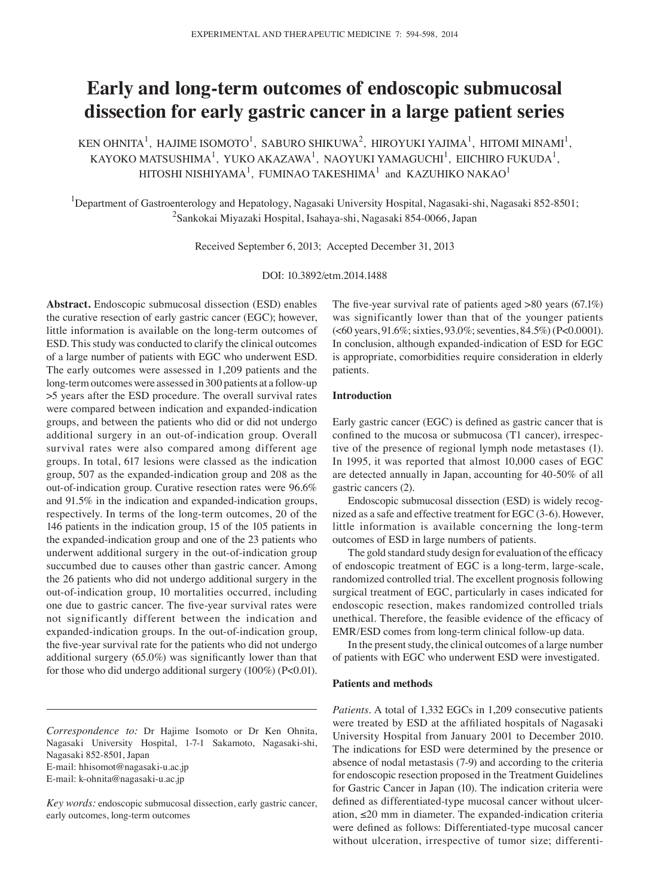# **Early and long‑term outcomes of endoscopic submucosal dissection for early gastric cancer in a large patient series**

KEN OHNITA<sup>1</sup>, HAJIME ISOMOTO<sup>1</sup>, SABURO SHIKUWA<sup>2</sup>, HIROYUKI YAJIMA<sup>1</sup>, HITOMI MINAMI<sup>1</sup>, KAYOKO MATSUSHIMA $^{\rm l}$ , YUKO AKAZAWA $^{\rm l}$ , NAOYUKI YAMAGUCHI $^{\rm l}$ , EIICHIRO FUKUDA $^{\rm l}$ , HITOSHI NISHIYAMA $^1$ , FUMINAO TAKESHIMA $^1$  and KAZUHIKO NAKAO $^1$ 

<sup>1</sup>Department of Gastroenterology and Hepatology, Nagasaki University Hospital, Nagasaki-shi, Nagasaki 852-8501;  $^{2}$ Sankokai Miyazaki Hospital, Isahaya-shi, Nagasaki 854-0066, Japan

Received September 6, 2013; Accepted December 31, 2013

DOI: 10.3892/etm.2014.1488

**Abstract.** Endoscopic submucosal dissection (ESD) enables the curative resection of early gastric cancer (EGC); however, little information is available on the long-term outcomes of ESD. This study was conducted to clarify the clinical outcomes of a large number of patients with EGC who underwent ESD. The early outcomes were assessed in 1,209 patients and the long-term outcomes were assessed in 300 patients at a follow-up >5 years after the ESD procedure. The overall survival rates were compared between indication and expanded-indication groups, and between the patients who did or did not undergo additional surgery in an out-of-indication group. Overall survival rates were also compared among different age groups. In total, 617 lesions were classed as the indication group, 507 as the expanded-indication group and 208 as the out-of-indication group. Curative resection rates were 96.6% and 91.5% in the indication and expanded-indication groups, respectively. In terms of the long-term outcomes, 20 of the 146 patients in the indication group, 15 of the 105 patients in the expanded-indication group and one of the 23 patients who underwent additional surgery in the out-of-indication group succumbed due to causes other than gastric cancer. Among the 26 patients who did not undergo additional surgery in the out-of-indication group, 10 mortalities occurred, including one due to gastric cancer. The five‑year survival rates were not significantly different between the indication and expanded-indication groups. In the out-of-indication group, the five‑year survival rate for the patients who did not undergo additional surgery (65.0%) was significantly lower than that for those who did undergo additional surgery (100%) (P<0.01).

*Correspondence to:* Dr Hajime Isomoto or Dr Ken Ohnita, Nagasaki University Hospital, 1-7-1 Sakamoto, Nagasaki-shi, Nagasaki 852-8501, Japan E-mail: hhisomot@nagasaki-u.ac.jp

E-mail: k-ohnita@nagasaki-u.ac.jp

*Key words:* endoscopic submucosal dissection, early gastric cancer, early outcomes, long-term outcomes

The five-year survival rate of patients aged  $>80$  years (67.1%) was significantly lower than that of the younger patients (<60 years, 91.6%; sixties, 93.0%; seventies, 84.5%) (P<0.0001). In conclusion, although expanded-indication of ESD for EGC is appropriate, comorbidities require consideration in elderly patients.

# **Introduction**

Early gastric cancer (EGC) is defined as gastric cancer that is confined to the mucosa or submucosa (T1 cancer), irrespective of the presence of regional lymph node metastases (1). In 1995, it was reported that almost 10,000 cases of EGC are detected annually in Japan, accounting for 40-50% of all gastric cancers (2).

Endoscopic submucosal dissection (ESD) is widely recognized as a safe and effective treatment for EGC (3-6). However, little information is available concerning the long-term outcomes of ESD in large numbers of patients.

The gold standard study design for evaluation of the efficacy of endoscopic treatment of EGC is a long-term, large-scale, randomized controlled trial. The excellent prognosis following surgical treatment of EGC, particularly in cases indicated for endoscopic resection, makes randomized controlled trials unethical. Therefore, the feasible evidence of the efficacy of EMR/ESD comes from long-term clinical follow-up data.

In the present study, the clinical outcomes of a large number of patients with EGC who underwent ESD were investigated.

# **Patients and methods**

*Patients.* A total of 1,332 EGCs in 1,209 consecutive patients were treated by ESD at the affiliated hospitals of Nagasaki University Hospital from January 2001 to December 2010. The indications for ESD were determined by the presence or absence of nodal metastasis (7-9) and according to the criteria for endoscopic resection proposed in the Treatment Guidelines for Gastric Cancer in Japan (10). The indication criteria were defined as differentiated-type mucosal cancer without ulceration,  $\leq 20$  mm in diameter. The expanded-indication criteria were defined as follows: Differentiated‑type mucosal cancer without ulceration, irrespective of tumor size; differenti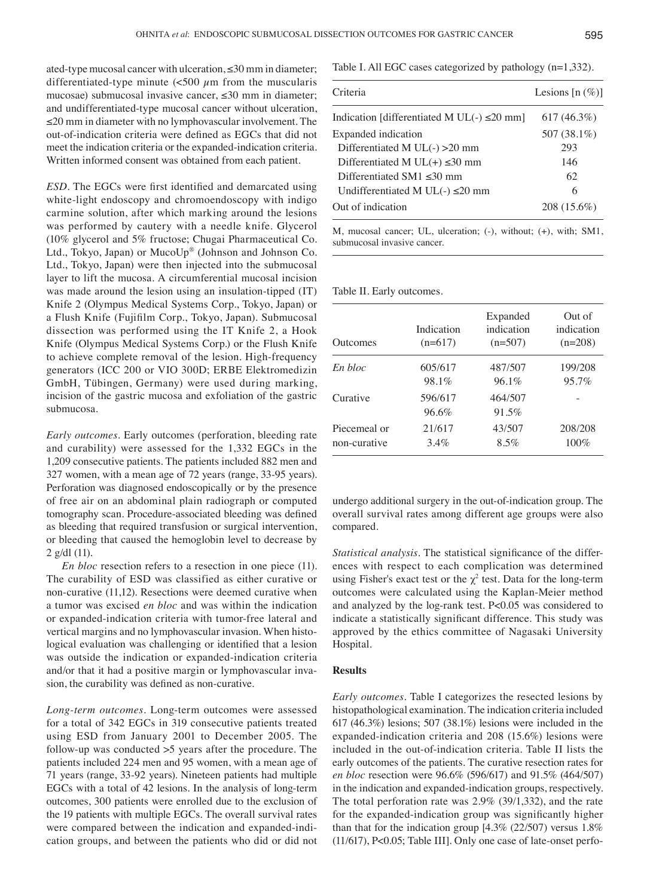ated-type mucosal cancer with ulceration, ≤30 mm in diameter; differentiated-type minute  $\left($  <500  $\mu$ m from the muscularis mucosae) submucosal invasive cancer, ≤30 mm in diameter; and undifferentiated-type mucosal cancer without ulceration, ≤20 mm in diameter with no lymphovascular involvement. The out‑of‑indication criteria were defined as EGCs that did not meet the indication criteria or the expanded-indication criteria. Written informed consent was obtained from each patient.

*ESD.* The EGCs were first identified and demarcated using white-light endoscopy and chromoendoscopy with indigo carmine solution, after which marking around the lesions was performed by cautery with a needle knife. Glycerol (10% glycerol and 5% fructose; Chugai Pharmaceutical Co. Ltd., Tokyo, Japan) or MucoUp® (Johnson and Johnson Co. Ltd., Tokyo, Japan) were then injected into the submucosal layer to lift the mucosa. A circumferential mucosal incision was made around the lesion using an insulation-tipped (IT) Knife 2 (Olympus Medical Systems Corp., Tokyo, Japan) or a Flush Knife (Fujifilm Corp., Tokyo, Japan). Submucosal dissection was performed using the IT Knife 2, a Hook Knife (Olympus Medical Systems Corp.) or the Flush Knife to achieve complete removal of the lesion. High-frequency generators (ICC 200 or VIO 300D; ERBE Elektromedizin GmbH, Tübingen, Germany) were used during marking, incision of the gastric mucosa and exfoliation of the gastric submucosa.

*Early outcomes.* Early outcomes (perforation, bleeding rate and curability) were assessed for the 1,332 EGCs in the 1,209 consecutive patients. The patients included 882 men and 327 women, with a mean age of 72 years (range, 33-95 years). Perforation was diagnosed endoscopically or by the presence of free air on an abdominal plain radiograph or computed tomography scan. Procedure‑associated bleeding was defined as bleeding that required transfusion or surgical intervention, or bleeding that caused the hemoglobin level to decrease by 2 g/dl (11).

*En bloc* resection refers to a resection in one piece (11). The curability of ESD was classified as either curative or non-curative (11,12). Resections were deemed curative when a tumor was excised *en bloc* and was within the indication or expanded-indication criteria with tumor-free lateral and vertical margins and no lymphovascular invasion. When histological evaluation was challenging or identified that a lesion was outside the indication or expanded-indication criteria and/or that it had a positive margin or lymphovascular invasion, the curability was defined as non‑curative.

*Long‑term outcomes.* Long-term outcomes were assessed for a total of 342 EGCs in 319 consecutive patients treated using ESD from January 2001 to December 2005. The follow-up was conducted >5 years after the procedure. The patients included 224 men and 95 women, with a mean age of 71 years (range, 33-92 years). Nineteen patients had multiple EGCs with a total of 42 lesions. In the analysis of long-term outcomes, 300 patients were enrolled due to the exclusion of the 19 patients with multiple EGCs. The overall survival rates were compared between the indication and expanded-indication groups, and between the patients who did or did not Table I. All EGC cases categorized by pathology (n=1,332).

| Criteria                                         | Lesions $[n (\%)]$ |
|--------------------------------------------------|--------------------|
| Indication [differentiated M UL(-) $\leq$ 20 mm] | $617(46.3\%)$      |
| Expanded indication                              | 507 (38.1%)        |
| Differentiated M $UL(-) > 20$ mm                 | 293                |
| Differentiated M UL(+) $\leq$ 30 mm              | 146                |
| Differentiated $SM1 < 30$ mm                     | 62                 |
| Undifferentiated M UL(-) $\leq$ 20 mm            | 6                  |
| Out of indication                                | 208 (15.6%)        |

M, mucosal cancer; UL, ulceration; (-), without; (+), with; SM1, submucosal invasive cancer.

Table II. Early outcomes.

| <b>Outcomes</b> | Indication<br>$(n=617)$ | Expanded<br>indication<br>$(n=507)$ | Out of<br>indication<br>$(n=208)$ |
|-----------------|-------------------------|-------------------------------------|-----------------------------------|
| En bloc         | 605/617                 | 487/507                             | 199/208                           |
|                 | 98.1%                   | 96.1%                               | 95.7%                             |
| Curative        | 596/617                 | 464/507                             |                                   |
|                 | 96.6%                   | 91.5%                               |                                   |
| Piecemeal or    | 21/617                  | 43/507                              | 208/208                           |
| non-curative    | 3.4%                    | 8.5%                                | 100%                              |

undergo additional surgery in the out-of-indication group. The overall survival rates among different age groups were also compared.

*Statistical analysis.* The statistical significance of the differences with respect to each complication was determined using Fisher's exact test or the  $\chi^2$  test. Data for the long-term outcomes were calculated using the Kaplan-Meier method and analyzed by the log-rank test. P<0.05 was considered to indicate a statistically significant difference. This study was approved by the ethics committee of Nagasaki University Hospital.

#### **Results**

*Early outcomes.* Table I categorizes the resected lesions by histopathological examination. The indication criteria included 617 (46.3%) lesions; 507 (38.1%) lesions were included in the expanded-indication criteria and 208 (15.6%) lesions were included in the out-of-indication criteria. Table II lists the early outcomes of the patients. The curative resection rates for *en bloc* resection were 96.6% (596/617) and 91.5% (464/507) in the indication and expanded-indication groups, respectively. The total perforation rate was 2.9% (39/1,332), and the rate for the expanded-indication group was significantly higher than that for the indication group [4.3% (22/507) versus 1.8% (11/617), P<0.05; Table III]. Only one case of late-onset perfo-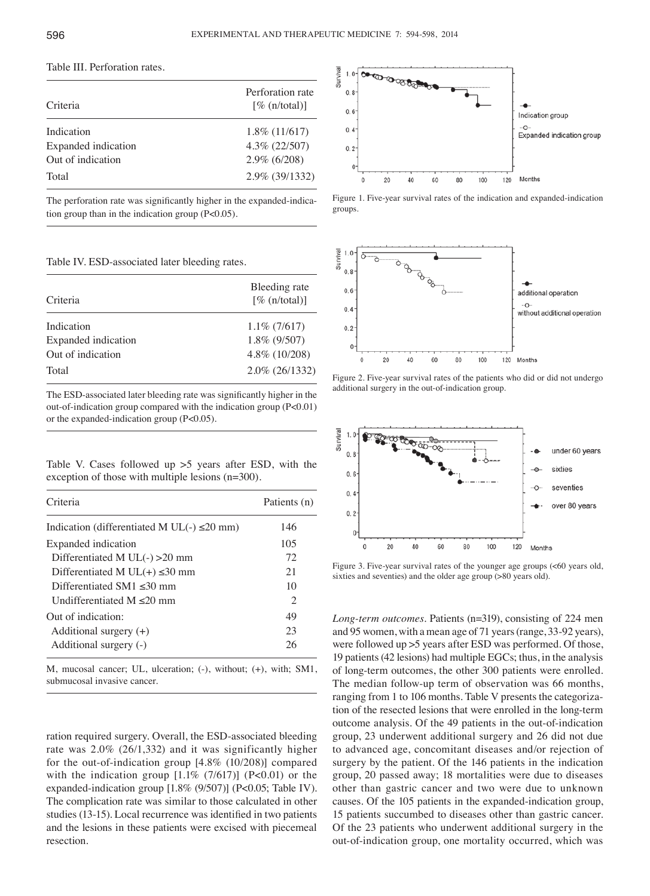# Table III. Perforation rates.

| Perforation rate<br>$\lceil\% \text{ (n/total)}\rceil$ |
|--------------------------------------------------------|
| $1.8\%$ (11/617)                                       |
| $4.3\%$ (22/507)                                       |
| $2.9\%$ (6/208)                                        |
| 2.9% (39/1332)                                         |
|                                                        |

The perforation rate was significantly higher in the expanded-indication group than in the indication group (P<0.05).

Table IV. ESD-associated later bleeding rates.

| Criteria            | Bleeding rate<br>$[\%$ (n/total)] |
|---------------------|-----------------------------------|
| Indication          | $1.1\%$ (7/617)                   |
| Expanded indication | $1.8\%$ (9/507)                   |
| Out of indication   | 4.8% (10/208)                     |
| Total               | $2.0\%$ (26/1332)                 |

The ESD‑associated later bleeding rate was significantly higher in the out-of-indication group compared with the indication group (P<0.01) or the expanded-indication group (P<0.05).

Table V. Cases followed up >5 years after ESD, with the exception of those with multiple lesions (n=300).

| Criteria                                         | Patients (n) |
|--------------------------------------------------|--------------|
| Indication (differentiated M UL(-) $\leq$ 20 mm) | 146          |
| Expanded indication                              | 105          |
| Differentiated M $UL(-) > 20$ mm                 | 72           |
| Differentiated M UL(+) $\leq 30$ mm              | 21           |
| Differentiated SM1 <30 mm                        | 10           |
| Undifferentiated $M < 20$ mm                     | 2            |
| Out of indication:                               | 49           |
| Additional surgery $(+)$                         | 23           |
| Additional surgery (-)                           | 26           |
|                                                  |              |

M, mucosal cancer; UL, ulceration; (-), without; (+), with; SM1, submucosal invasive cancer.

ration required surgery. Overall, the ESD-associated bleeding rate was 2.0% (26/1,332) and it was significantly higher for the out-of-indication group [4.8% (10/208)] compared with the indication group  $[1.1\% (7/617)]$  (P<0.01) or the expanded-indication group [1.8% (9/507)] (P<0.05; Table IV). The complication rate was similar to those calculated in other studies (13‑15). Local recurrence was identified in two patients and the lesions in these patients were excised with piecemeal resection.



Figure 1. Five-year survival rates of the indication and expanded-indication groups.



Figure 2. Five-year survival rates of the patients who did or did not undergo additional surgery in the out-of-indication group.



Figure 3. Five-year survival rates of the younger age groups (<60 years old, sixties and seventies) and the older age group (>80 years old).

*Long-term outcomes.* Patients (n=319), consisting of 224 men and 95 women, with a mean age of 71 years (range, 33-92 years), were followed up >5 years after ESD was performed. Of those, 19 patients (42 lesions) had multiple EGCs; thus, in the analysis of long-term outcomes, the other 300 patients were enrolled. The median follow-up term of observation was 66 months, ranging from 1 to 106 months. Table V presents the categorization of the resected lesions that were enrolled in the long-term outcome analysis. Of the 49 patients in the out-of-indication group, 23 underwent additional surgery and 26 did not due to advanced age, concomitant diseases and/or rejection of surgery by the patient. Of the 146 patients in the indication group, 20 passed away; 18 mortalities were due to diseases other than gastric cancer and two were due to unknown causes. Of the 105 patients in the expanded-indication group, 15 patients succumbed to diseases other than gastric cancer. Of the 23 patients who underwent additional surgery in the out-of-indication group, one mortality occurred, which was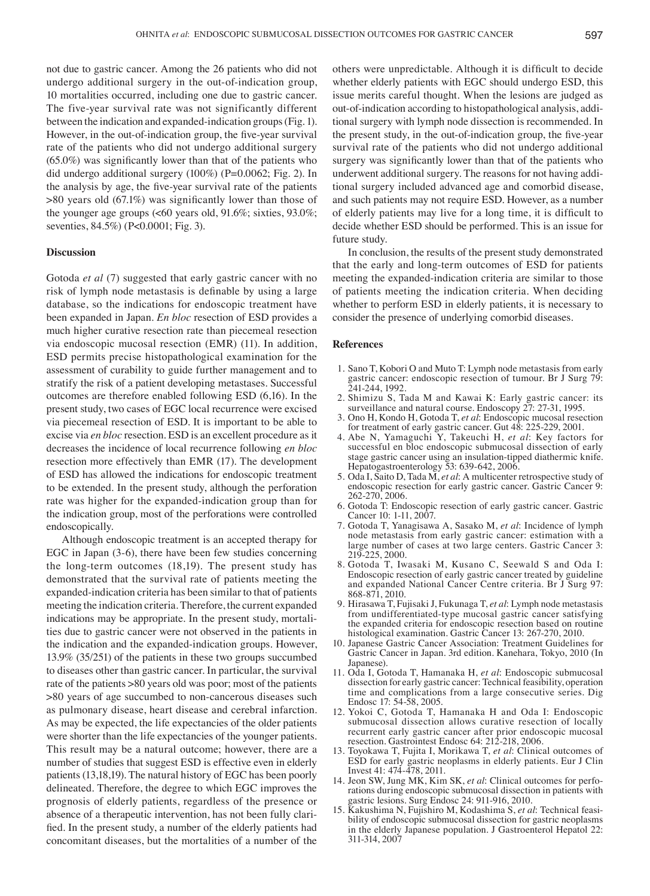not due to gastric cancer. Among the 26 patients who did not undergo additional surgery in the out-of-indication group, 10 mortalities occurred, including one due to gastric cancer. The five-year survival rate was not significantly different between the indication and expanded-indication groups (Fig. 1). However, in the out-of-indication group, the five-year survival rate of the patients who did not undergo additional surgery (65.0%) was significantly lower than that of the patients who did undergo additional surgery (100%) (P=0.0062; Fig. 2). In the analysis by age, the five-year survival rate of the patients >80 years old (67.1%) was significantly lower than those of the younger age groups (<60 years old, 91.6%; sixties, 93.0%; seventies, 84.5%) (P<0.0001; Fig. 3).

# **Discussion**

Gotoda *et al* (7) suggested that early gastric cancer with no risk of lymph node metastasis is definable by using a large database, so the indications for endoscopic treatment have been expanded in Japan. *En bloc* resection of ESD provides a much higher curative resection rate than piecemeal resection via endoscopic mucosal resection (EMR) (11). In addition, ESD permits precise histopathological examination for the assessment of curability to guide further management and to stratify the risk of a patient developing metastases. Successful outcomes are therefore enabled following ESD (6,16). In the present study, two cases of EGC local recurrence were excised via piecemeal resection of ESD. It is important to be able to excise via *en bloc* resection. ESD is an excellent procedure as it decreases the incidence of local recurrence following *en bloc* resection more effectively than EMR (17). The development of ESD has allowed the indications for endoscopic treatment to be extended. In the present study, although the perforation rate was higher for the expanded-indication group than for the indication group, most of the perforations were controlled endoscopically.

Although endoscopic treatment is an accepted therapy for EGC in Japan (3-6), there have been few studies concerning the long-term outcomes (18,19). The present study has demonstrated that the survival rate of patients meeting the expanded-indication criteria has been similar to that of patients meeting the indication criteria. Therefore, the current expanded indications may be appropriate. In the present study, mortalities due to gastric cancer were not observed in the patients in the indication and the expanded-indication groups. However, 13.9% (35/251) of the patients in these two groups succumbed to diseases other than gastric cancer. In particular, the survival rate of the patients >80 years old was poor; most of the patients >80 years of age succumbed to non-cancerous diseases such as pulmonary disease, heart disease and cerebral infarction. As may be expected, the life expectancies of the older patients were shorter than the life expectancies of the younger patients. This result may be a natural outcome; however, there are a number of studies that suggest ESD is effective even in elderly patients (13,18,19). The natural history of EGC has been poorly delineated. Therefore, the degree to which EGC improves the prognosis of elderly patients, regardless of the presence or absence of a therapeutic intervention, has not been fully clarified. In the present study, a number of the elderly patients had concomitant diseases, but the mortalities of a number of the

others were unpredictable. Although it is difficult to decide whether elderly patients with EGC should undergo ESD, this issue merits careful thought. When the lesions are judged as out-of-indication according to histopathological analysis, additional surgery with lymph node dissection is recommended. In the present study, in the out-of-indication group, the five-year survival rate of the patients who did not undergo additional surgery was significantly lower than that of the patients who underwent additional surgery. The reasons for not having additional surgery included advanced age and comorbid disease, and such patients may not require ESD. However, as a number of elderly patients may live for a long time, it is difficult to decide whether ESD should be performed. This is an issue for future study.

In conclusion, the results of the present study demonstrated that the early and long-term outcomes of ESD for patients meeting the expanded-indication criteria are similar to those of patients meeting the indication criteria. When deciding whether to perform ESD in elderly patients, it is necessary to consider the presence of underlying comorbid diseases.

### **References**

- 1. Sano T, Kobori O and Muto T: Lymph node metastasis from early gastric cancer: endoscopic resection of tumour. Br J Surg 79: 241-244, 1992.
- 2. Shimizu S, Tada M and Kawai K: Early gastric cancer: its surveillance and natural course. Endoscopy 27: 27-31, 1995.
- 3. Ono H, Kondo H, Gotoda T, *et al*: Endoscopic mucosal resection for treatment of early gastric cancer. Gut 48: 225-229, 2001.
- 4. Abe N, Yamaguchi Y, Takeuchi H, *et al*: Key factors for successful en bloc endoscopic submucosal dissection of early stage gastric cancer using an insulation-tipped diathermic knife. Hepatogastroenterology 53: 639-642, 2006.
- 5. Oda I, Saito D, Tada M, *et al*: A multicenter retrospective study of endoscopic resection for early gastric cancer. Gastric Cancer 9: 262-270, 2006.
- 6. Gotoda T: Endoscopic resection of early gastric cancer. Gastric Cancer 10: 1-11, 2007.
- 7. Gotoda T, Yanagisawa A, Sasako M, *et al*: Incidence of lymph node metastasis from early gastric cancer: estimation with a large number of cases at two large centers. Gastric Cancer 3: 219-225, 2000.
- 8. Gotoda T, Iwasaki M, Kusano C, Seewald S and Oda I: Endoscopic resection of early gastric cancer treated by guideline and expanded National Cancer Centre criteria. Br J Surg 97: 868-871, 2010.
- 9. Hirasawa T, Fujisaki J, Fukunaga T, *et al*: Lymph node metastasis from undifferentiated-type mucosal gastric cancer satisfying the expanded criteria for endoscopic resection based on routine histological examination. Gastric Cancer 13: 267-270, 2010.
- 10. Japanese Gastric Cancer Association: Treatment Guidelines for Gastric Cancer in Japan. 3rd edition. Kanehara, Tokyo, 2010 (In Japanese).
- 11. Oda I, Gotoda T, Hamanaka H, *et al*: Endoscopic submucosal dissection for early gastric cancer: Technical feasibility, operation time and complications from a large consecutive series. Dig Endosc 17: 54-58, 2005.
- 12. Yokoi C, Gotoda T, Hamanaka H and Oda I: Endoscopic submucosal dissection allows curative resection of locally recurrent early gastric cancer after prior endoscopic mucosal resection. Gastrointest Endosc 64: 212-218, 2006.
- 13. Toyokawa T, Fujita I, Morikawa T, *et al*: Clinical outcomes of ESD for early gastric neoplasms in elderly patients. Eur J Clin Invest 41: 474-478, 2011.
- 14. Jeon SW, Jung MK, Kim SK, *et al*: Clinical outcomes for perforations during endoscopic submucosal dissection in patients with gastric lesions. Surg Endosc 24: 911-916, 2010.
- 15. Kakushima N, Fujishiro M, Kodashima S, *et al*: Technical feasibility of endoscopic submucosal dissection for gastric neoplasms in the elderly Japanese population. J Gastroenterol Hepatol 22: 311-314, 2007